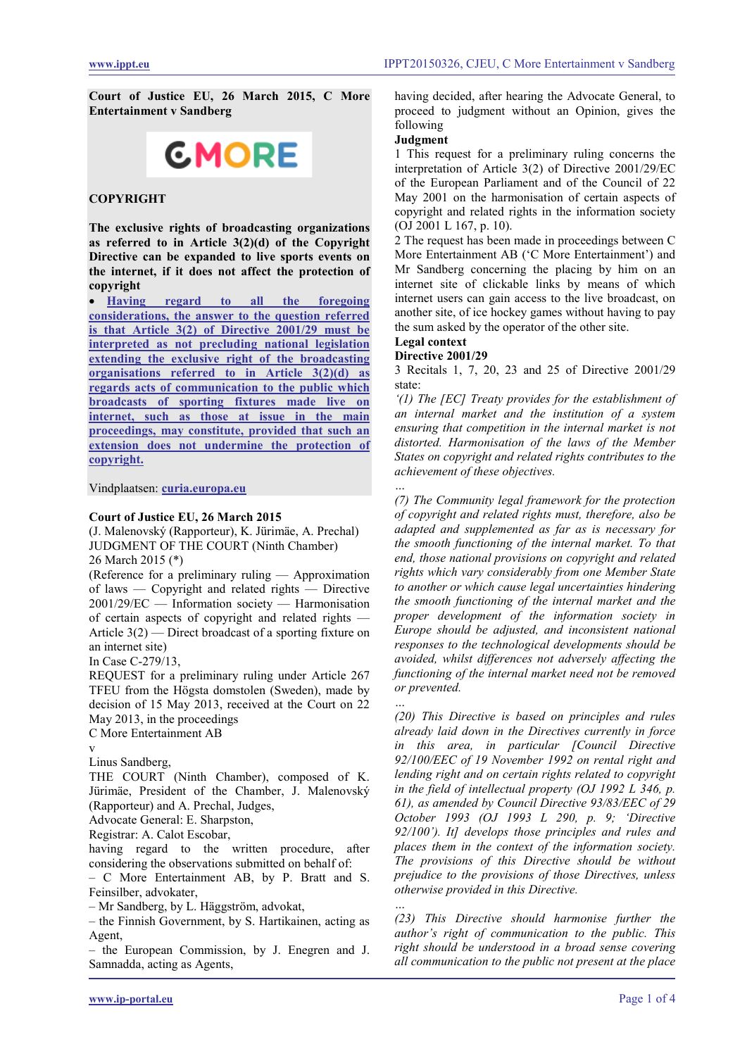**Court of Justice EU, 26 March 2015, C More Entertainment v Sandberg**

# **GMORE**

## **COPYRIGHT**

**The exclusive rights of broadcasting organizations as referred to in Article 3(2)(d) of the Copyright Directive can be expanded to live sports events on the internet, if it does not affect the protection of copyright**

• **[Having regard to all the foregoing](#page-3-0)  [considerations, the answer to the question referred](#page-3-0)  [is that Article 3\(2\) of Directive 2001/29 must be](#page-3-0)  [interpreted as not precluding national legislation](#page-3-0)  [extending the exclusive right of the broadcasting](#page-3-0)  [organisations referred to in Article 3\(2\)\(d\) as](#page-3-0)  [regards acts of communication to the public which](#page-3-0)  [broadcasts of sporting fixtures made live on](#page-3-0)  [internet, such as those at issue in the main](#page-3-0)  [proceedings, may constitute, provided that such an](#page-3-0)  [extension does not undermine the protection of](#page-3-0)  [copyright.](#page-3-0)**

#### Vindplaatsen: **[curia.europa.eu](http://curia.europa.eu/juris/liste.jsf?language=nl&jur=C,T,F&num=C-279/13&td=ALL)**

## **Court of Justice EU, 26 March 2015**

(J. Malenovský (Rapporteur), K. Jürimäe, A. Prechal) JUDGMENT OF THE COURT (Ninth Chamber) 26 March 2015 (\*)

(Reference for a preliminary ruling — Approximation of laws — Copyright and related rights — Directive 2001/29/EC — Information society — Harmonisation of certain aspects of copyright and related rights — Article 3(2) — Direct broadcast of a sporting fixture on an internet site)

In Case C-279/13,

REQUEST for a preliminary ruling under Article 267 TFEU from the Högsta domstolen (Sweden), made by decision of 15 May 2013, received at the Court on 22 May 2013, in the proceedings

C More Entertainment AB

v

Linus Sandberg,

THE COURT (Ninth Chamber), composed of K. Jürimäe, President of the Chamber, J. Malenovský (Rapporteur) and A. Prechal, Judges,

Advocate General: E. Sharpston,

Registrar: A. Calot Escobar,

having regard to the written procedure, after considering the observations submitted on behalf of:

– C More Entertainment AB, by P. Bratt and S. Feinsilber, advokater,

– Mr Sandberg, by L. Häggström, advokat,

– the Finnish Government, by S. Hartikainen, acting as Agent,

– the European Commission, by J. Enegren and J. Samnadda, acting as Agents,

having decided, after hearing the Advocate General, to proceed to judgment without an Opinion, gives the following

### **Judgment**

1 This request for a preliminary ruling concerns the interpretation of Article 3(2) of Directive 2001/29/EC of the European Parliament and of the Council of 22 May 2001 on the harmonisation of certain aspects of copyright and related rights in the information society (OJ 2001 L 167, p. 10).

2 The request has been made in proceedings between C More Entertainment AB ('C More Entertainment') and Mr Sandberg concerning the placing by him on an internet site of clickable links by means of which internet users can gain access to the live broadcast, on another site, of ice hockey games without having to pay the sum asked by the operator of the other site.

## **Legal context**

#### **Directive 2001/29**

3 Recitals 1, 7, 20, 23 and 25 of Directive 2001/29 state:

*'(1) The [EC] Treaty provides for the establishment of an internal market and the institution of a system ensuring that competition in the internal market is not distorted. Harmonisation of the laws of the Member States on copyright and related rights contributes to the achievement of these objectives.*

*…*

*(7) The Community legal framework for the protection of copyright and related rights must, therefore, also be adapted and supplemented as far as is necessary for the smooth functioning of the internal market. To that end, those national provisions on copyright and related rights which vary considerably from one Member State to another or which cause legal uncertainties hindering the smooth functioning of the internal market and the proper development of the information society in Europe should be adjusted, and inconsistent national responses to the technological developments should be avoided, whilst differences not adversely affecting the functioning of the internal market need not be removed or prevented.*

*… (20) This Directive is based on principles and rules already laid down in the Directives currently in force in this area, in particular [Council Directive 92/100/EEC of 19 November 1992 on rental right and lending right and on certain rights related to copyright in the field of intellectual property (OJ 1992 L 346, p. 61), as amended by Council Directive 93/83/EEC of 29 October 1993 (OJ 1993 L 290, p. 9; 'Directive 92/100'). It] develops those principles and rules and places them in the context of the information society. The provisions of this Directive should be without prejudice to the provisions of those Directives, unless otherwise provided in this Directive.*

*…*

*(23) This Directive should harmonise further the author's right of communication to the public. This right should be understood in a broad sense covering all communication to the public not present at the place*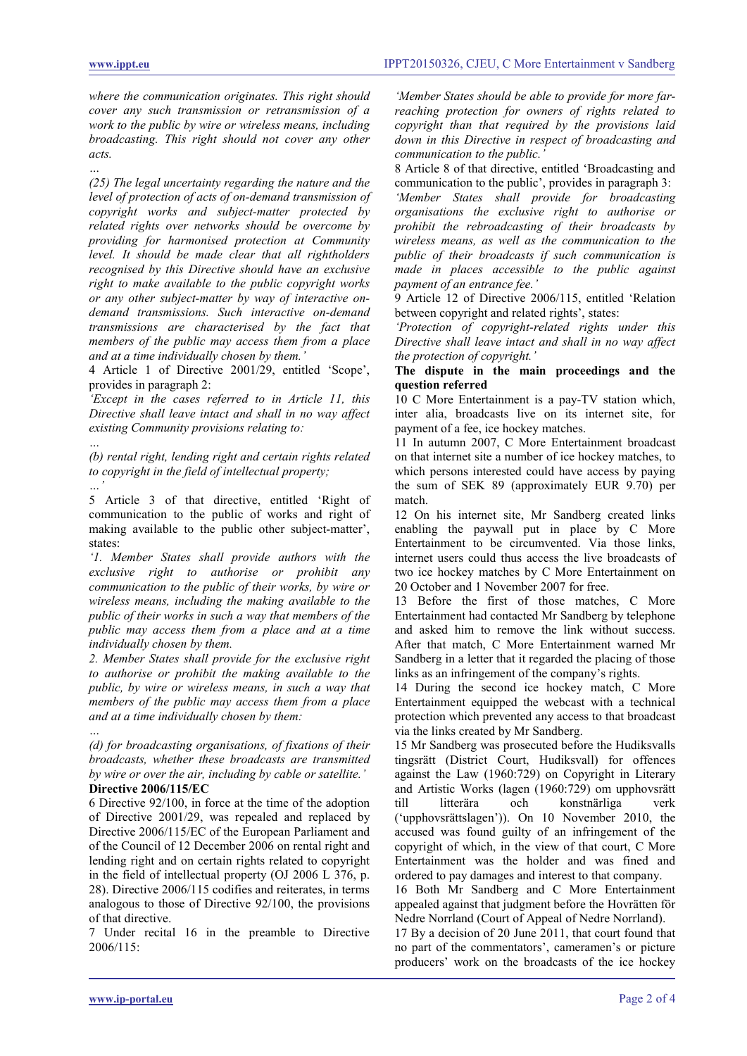*where the communication originates. This right should cover any such transmission or retransmission of a work to the public by wire or wireless means, including broadcasting. This right should not cover any other acts.*

*…*

*(25) The legal uncertainty regarding the nature and the level of protection of acts of on-demand transmission of copyright works and subject-matter protected by related rights over networks should be overcome by providing for harmonised protection at Community level. It should be made clear that all rightholders recognised by this Directive should have an exclusive right to make available to the public copyright works or any other subject-matter by way of interactive ondemand transmissions. Such interactive on-demand transmissions are characterised by the fact that members of the public may access them from a place and at a time individually chosen by them.'*

4 Article 1 of Directive 2001/29, entitled 'Scope', provides in paragraph 2:

*'Except in the cases referred to in Article 11, this Directive shall leave intact and shall in no way affect existing Community provisions relating to:*

*… (b) rental right, lending right and certain rights related to copyright in the field of intellectual property; …'*

5 Article 3 of that directive, entitled 'Right of communication to the public of works and right of making available to the public other subject-matter', states:

*'1. Member States shall provide authors with the exclusive right to authorise or prohibit any communication to the public of their works, by wire or wireless means, including the making available to the public of their works in such a way that members of the public may access them from a place and at a time individually chosen by them.*

*2. Member States shall provide for the exclusive right to authorise or prohibit the making available to the public, by wire or wireless means, in such a way that members of the public may access them from a place and at a time individually chosen by them:*

*(d) for broadcasting organisations, of fixations of their broadcasts, whether these broadcasts are transmitted by wire or over the air, including by cable or satellite.'* **Directive 2006/115/EC**

6 Directive 92/100, in force at the time of the adoption of Directive 2001/29, was repealed and replaced by Directive 2006/115/EC of the European Parliament and of the Council of 12 December 2006 on rental right and lending right and on certain rights related to copyright in the field of intellectual property (OJ 2006 L 376, p. 28). Directive 2006/115 codifies and reiterates, in terms analogous to those of Directive 92/100, the provisions of that directive.

7 Under recital 16 in the preamble to Directive 2006/115:

*'Member States should be able to provide for more farreaching protection for owners of rights related to copyright than that required by the provisions laid down in this Directive in respect of broadcasting and communication to the public.'*

8 Article 8 of that directive, entitled 'Broadcasting and communication to the public', provides in paragraph 3:

*'Member States shall provide for broadcasting organisations the exclusive right to authorise or prohibit the rebroadcasting of their broadcasts by wireless means, as well as the communication to the public of their broadcasts if such communication is made in places accessible to the public against payment of an entrance fee.'*

9 Article 12 of Directive 2006/115, entitled 'Relation between copyright and related rights', states:

*'Protection of copyright-related rights under this Directive shall leave intact and shall in no way affect the protection of copyright.'*

## **The dispute in the main proceedings and the question referred**

10 C More Entertainment is a pay-TV station which, inter alia, broadcasts live on its internet site, for payment of a fee, ice hockey matches.

11 In autumn 2007, C More Entertainment broadcast on that internet site a number of ice hockey matches, to which persons interested could have access by paying the sum of SEK 89 (approximately EUR 9.70) per match.

12 On his internet site, Mr Sandberg created links enabling the paywall put in place by C More Entertainment to be circumvented. Via those links, internet users could thus access the live broadcasts of two ice hockey matches by C More Entertainment on 20 October and 1 November 2007 for free.

13 Before the first of those matches, C More Entertainment had contacted Mr Sandberg by telephone and asked him to remove the link without success. After that match, C More Entertainment warned Mr Sandberg in a letter that it regarded the placing of those links as an infringement of the company's rights.

14 During the second ice hockey match, C More Entertainment equipped the webcast with a technical protection which prevented any access to that broadcast via the links created by Mr Sandberg.

15 Mr Sandberg was prosecuted before the Hudiksvalls tingsrätt (District Court, Hudiksvall) for offences against the Law (1960:729) on Copyright in Literary and Artistic Works (lagen (1960:729) om upphovsrätt till litterära och konstnärliga verk ('upphovsrättslagen')). On 10 November 2010, the accused was found guilty of an infringement of the copyright of which, in the view of that court, C More Entertainment was the holder and was fined and ordered to pay damages and interest to that company.

16 Both Mr Sandberg and C More Entertainment appealed against that judgment before the Hovrätten för Nedre Norrland (Court of Appeal of Nedre Norrland).

17 By a decision of 20 June 2011, that court found that no part of the commentators', cameramen's or picture producers' work on the broadcasts of the ice hockey

*…*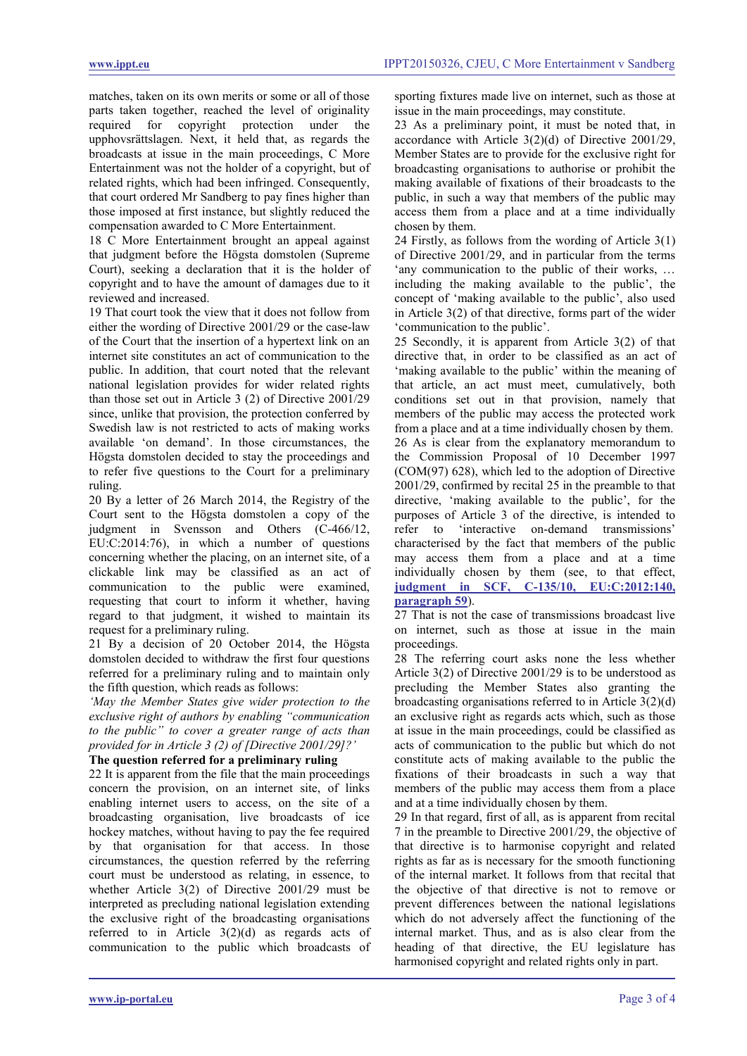matches, taken on its own merits or some or all of those parts taken together, reached the level of originality required for copyright protection under the upphovsrättslagen. Next, it held that, as regards the broadcasts at issue in the main proceedings, C More Entertainment was not the holder of a copyright, but of related rights, which had been infringed. Consequently, that court ordered Mr Sandberg to pay fines higher than those imposed at first instance, but slightly reduced the compensation awarded to C More Entertainment.

18 C More Entertainment brought an appeal against that judgment before the Högsta domstolen (Supreme Court), seeking a declaration that it is the holder of copyright and to have the amount of damages due to it reviewed and increased.

19 That court took the view that it does not follow from either the wording of Directive 2001/29 or the case-law of the Court that the insertion of a hypertext link on an internet site constitutes an act of communication to the public. In addition, that court noted that the relevant national legislation provides for wider related rights than those set out in Article 3 (2) of Directive 2001/29 since, unlike that provision, the protection conferred by Swedish law is not restricted to acts of making works available 'on demand'. In those circumstances, the Högsta domstolen decided to stay the proceedings and to refer five questions to the Court for a preliminary ruling.

20 By a letter of 26 March 2014, the Registry of the Court sent to the Högsta domstolen a copy of the judgment in Svensson and Others (C-466/12, EU:C:2014:76), in which a number of questions concerning whether the placing, on an internet site, of a clickable link may be classified as an act of communication to the public were examined, requesting that court to inform it whether, having regard to that judgment, it wished to maintain its request for a preliminary ruling.

21 By a decision of 20 October 2014, the Högsta domstolen decided to withdraw the first four questions referred for a preliminary ruling and to maintain only the fifth question, which reads as follows:

*'May the Member States give wider protection to the exclusive right of authors by enabling "communication to the public" to cover a greater range of acts than provided for in Article 3 (2) of [Directive 2001/29]?'*

## **The question referred for a preliminary ruling**

22 It is apparent from the file that the main proceedings concern the provision, on an internet site, of links enabling internet users to access, on the site of a broadcasting organisation, live broadcasts of ice hockey matches, without having to pay the fee required by that organisation for that access. In those circumstances, the question referred by the referring court must be understood as relating, in essence, to whether Article 3(2) of Directive 2001/29 must be interpreted as precluding national legislation extending the exclusive right of the broadcasting organisations referred to in Article  $3(2)(d)$  as regards acts of communication to the public which broadcasts of

sporting fixtures made live on internet, such as those at issue in the main proceedings, may constitute.

23 As a preliminary point, it must be noted that, in accordance with Article 3(2)(d) of Directive 2001/29, Member States are to provide for the exclusive right for broadcasting organisations to authorise or prohibit the making available of fixations of their broadcasts to the public, in such a way that members of the public may access them from a place and at a time individually chosen by them.

24 Firstly, as follows from the wording of Article 3(1) of Directive 2001/29, and in particular from the terms 'any communication to the public of their works, … including the making available to the public', the concept of 'making available to the public', also used in Article 3(2) of that directive, forms part of the wider 'communication to the public'.

25 Secondly, it is apparent from Article 3(2) of that directive that, in order to be classified as an act of 'making available to the public' within the meaning of that article, an act must meet, cumulatively, both conditions set out in that provision, namely that members of the public may access the protected work from a place and at a time individually chosen by them. 26 As is clear from the explanatory memorandum to the Commission Proposal of 10 December 1997 (COM(97) 628), which led to the adoption of Directive 2001/29, confirmed by recital 25 in the preamble to that directive, 'making available to the public', for the purposes of Article 3 of the directive, is intended to refer to 'interactive on-demand transmissions' characterised by the fact that members of the public may access them from a place and at a time individually chosen by them (see, to that effect, **[judgment in SCF, C-135/10, EU:C:2012:140,](http://www.ippt.eu/files/2012/IPPT20120315_ECJ_SCF_v_Del_Corso.pdf)  [paragraph 59](http://www.ippt.eu/files/2012/IPPT20120315_ECJ_SCF_v_Del_Corso.pdf)**).

27 That is not the case of transmissions broadcast live on internet, such as those at issue in the main proceedings.

28 The referring court asks none the less whether Article 3(2) of Directive 2001/29 is to be understood as precluding the Member States also granting the broadcasting organisations referred to in Article 3(2)(d) an exclusive right as regards acts which, such as those at issue in the main proceedings, could be classified as acts of communication to the public but which do not constitute acts of making available to the public the fixations of their broadcasts in such a way that members of the public may access them from a place and at a time individually chosen by them.

29 In that regard, first of all, as is apparent from recital 7 in the preamble to Directive 2001/29, the objective of that directive is to harmonise copyright and related rights as far as is necessary for the smooth functioning of the internal market. It follows from that recital that the objective of that directive is not to remove or prevent differences between the national legislations which do not adversely affect the functioning of the internal market. Thus, and as is also clear from the heading of that directive, the EU legislature has harmonised copyright and related rights only in part.